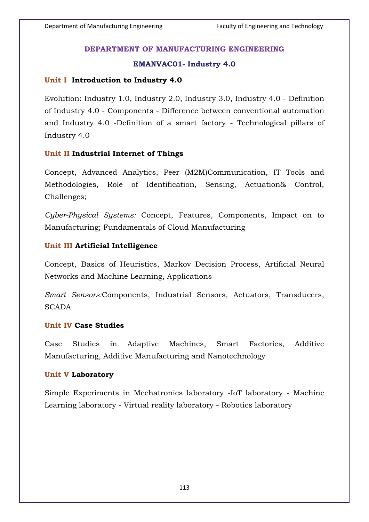## **DEPARTMENT OF MANUFACTURING ENGINEERING**

## **EMANVAC01- Industry 4.0**

## **Unit I Introduction to Industry 4.0**

Evolution: Industry 1.0, Industry 2.0, Industry 3.0, Industry 4.0 - Definition of Industry 4.0 - Components - Difference between conventional automation and Industry 4.0 -Definition of a smart factory - Technological pillars of Industry 4.0

### **Unit II Industrial Internet of Things**

Concept, Advanced Analytics, Peer (M2M)Communication, IT Tools and Methodologies, Role of Identification, Sensing, Actuation& Control, Challenges;

*Cyber-Physical Systems:* Concept, Features, Components, Impact on to Manufacturing; Fundamentals of Cloud Manufacturing

#### **Unit III Artificial Intelligence**

Concept, Basics of Heuristics, Markov Decision Process, Artificial Neural Networks and Machine Learning, Applications

*Smart Sensors:*Components, Industrial Sensors, Actuators, Transducers, **SCADA** 

#### **Unit IV Case Studies**

Case Studies in Adaptive Machines, Smart Factories, Additive Manufacturing, Additive Manufacturing and Nanotechnology

#### **Unit V Laboratory**

Simple Experiments in Mechatronics laboratory -IoT laboratory - Machine Learning laboratory - Virtual reality laboratory - Robotics laboratory